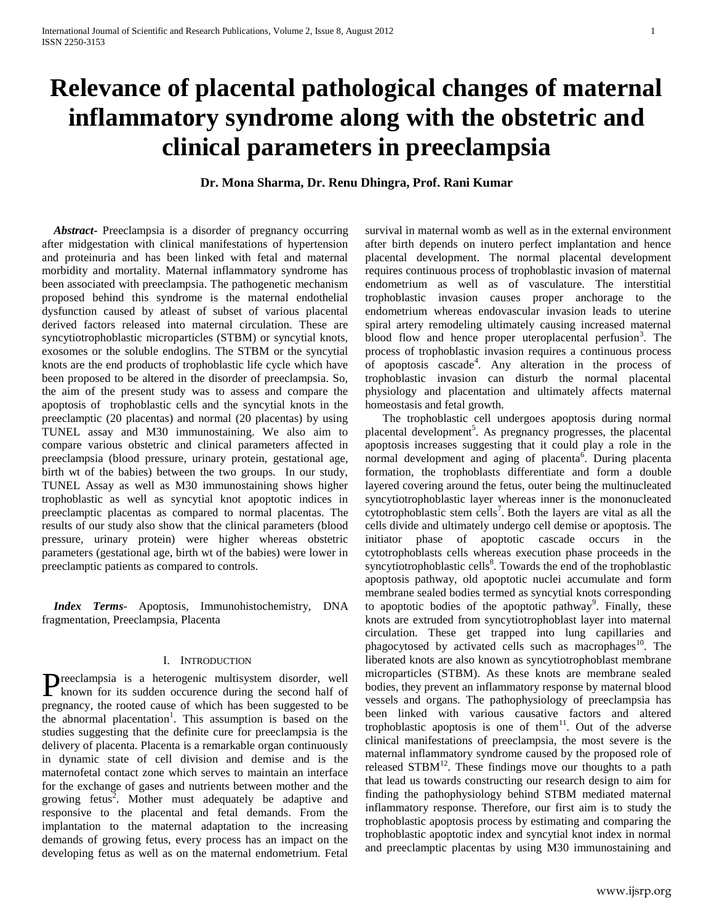# **Relevance of placental pathological changes of maternal inflammatory syndrome along with the obstetric and clinical parameters in preeclampsia**

**Dr. Mona Sharma, Dr. Renu Dhingra, Prof. Rani Kumar**

 *Abstract***-** Preeclampsia is a disorder of pregnancy occurring after midgestation with clinical manifestations of hypertension and proteinuria and has been linked with fetal and maternal morbidity and mortality. Maternal inflammatory syndrome has been associated with preeclampsia. The pathogenetic mechanism proposed behind this syndrome is the maternal endothelial dysfunction caused by atleast of subset of various placental derived factors released into maternal circulation. These are syncytiotrophoblastic microparticles (STBM) or syncytial knots, exosomes or the soluble endoglins. The STBM or the syncytial knots are the end products of trophoblastic life cycle which have been proposed to be altered in the disorder of preeclampsia. So, the aim of the present study was to assess and compare the apoptosis of trophoblastic cells and the syncytial knots in the preeclamptic (20 placentas) and normal (20 placentas) by using TUNEL assay and M30 immunostaining. We also aim to compare various obstetric and clinical parameters affected in preeclampsia (blood pressure, urinary protein, gestational age, birth wt of the babies) between the two groups. In our study, TUNEL Assay as well as M30 immunostaining shows higher trophoblastic as well as syncytial knot apoptotic indices in preeclamptic placentas as compared to normal placentas. The results of our study also show that the clinical parameters (blood pressure, urinary protein) were higher whereas obstetric parameters (gestational age, birth wt of the babies) were lower in preeclamptic patients as compared to controls.

 *Index Terms*- Apoptosis, Immunohistochemistry, DNA fragmentation, Preeclampsia, Placenta

## I. INTRODUCTION

reeclampsia is a heterogenic multisystem disorder, well Preeclampsia is a heterogenic multisystem disorder, well known for its sudden occurence during the second half of pregnancy, the rooted cause of which has been suggested to be the abnormal placentation<sup>1</sup>. This assumption is based on the studies suggesting that the definite cure for preeclampsia is the delivery of placenta. Placenta is a remarkable organ continuously in dynamic state of cell division and demise and is the maternofetal contact zone which serves to maintain an interface for the exchange of gases and nutrients between mother and the growing fetus<sup>2</sup>. Mother must adequately be adaptive and responsive to the placental and fetal demands. From the implantation to the maternal adaptation to the increasing demands of growing fetus, every process has an impact on the developing fetus as well as on the maternal endometrium. Fetal

survival in maternal womb as well as in the external environment after birth depends on inutero perfect implantation and hence placental development. The normal placental development requires continuous process of trophoblastic invasion of maternal endometrium as well as of vasculature. The interstitial trophoblastic invasion causes proper anchorage to the endometrium whereas endovascular invasion leads to uterine spiral artery remodeling ultimately causing increased maternal blood flow and hence proper uteroplacental perfusion<sup>3</sup>. The process of trophoblastic invasion requires a continuous process of apoptosis cascade<sup>4</sup>. Any alteration in the process of trophoblastic invasion can disturb the normal placental physiology and placentation and ultimately affects maternal homeostasis and fetal growth.

 The trophoblastic cell undergoes apoptosis during normal placental development<sup>5</sup>. As pregnancy progresses, the placental apoptosis increases suggesting that it could play a role in the normal development and aging of placenta<sup>6</sup>. During placenta formation, the trophoblasts differentiate and form a double layered covering around the fetus, outer being the multinucleated syncytiotrophoblastic layer whereas inner is the mononucleated cytotrophoblastic stem cells<sup>7</sup>. Both the layers are vital as all the cells divide and ultimately undergo cell demise or apoptosis. The initiator phase of apoptotic cascade occurs in the cytotrophoblasts cells whereas execution phase proceeds in the  $syncytiotrophoblastic cells<sup>8</sup>$ . Towards the end of the trophoblastic apoptosis pathway, old apoptotic nuclei accumulate and form membrane sealed bodies termed as syncytial knots corresponding to apoptotic bodies of the apoptotic pathway<sup>9</sup>. Finally, these knots are extruded from syncytiotrophoblast layer into maternal circulation. These get trapped into lung capillaries and phagocytosed by activated cells such as macrophages<sup>10</sup>. The liberated knots are also known as syncytiotrophoblast membrane microparticles (STBM). As these knots are membrane sealed bodies, they prevent an inflammatory response by maternal blood vessels and organs. The pathophysiology of preeclampsia has been linked with various causative factors and altered trophoblastic apoptosis is one of them<sup>11</sup>. Out of the adverse clinical manifestations of preeclampsia, the most severe is the maternal inflammatory syndrome caused by the proposed role of released  $STBM$ <sup>12</sup>. These findings move our thoughts to a path that lead us towards constructing our research design to aim for finding the pathophysiology behind STBM mediated maternal inflammatory response. Therefore, our first aim is to study the trophoblastic apoptosis process by estimating and comparing the trophoblastic apoptotic index and syncytial knot index in normal and preeclamptic placentas by using M30 immunostaining and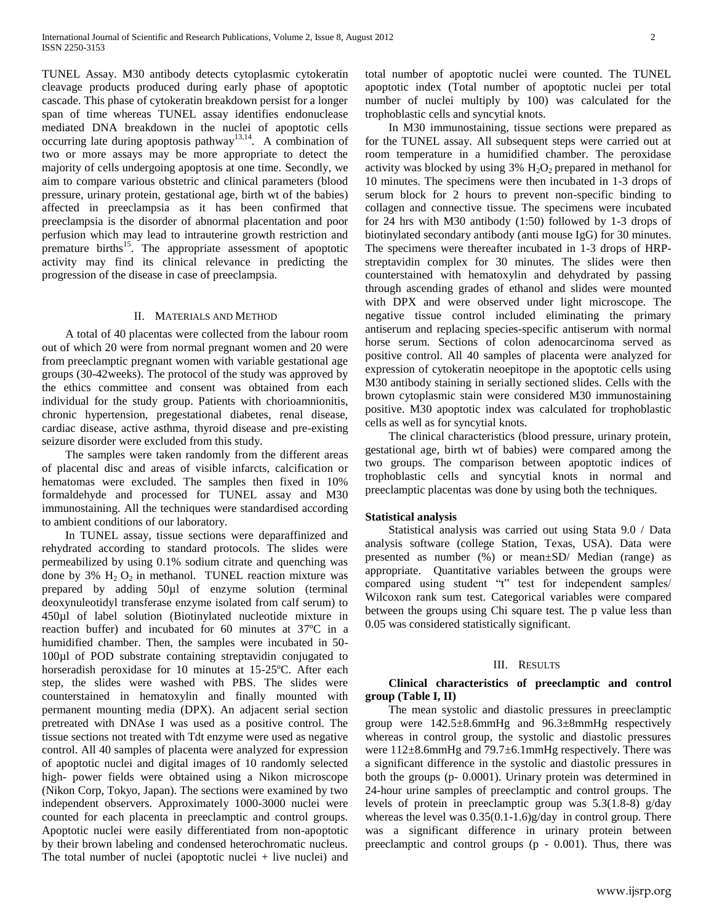TUNEL Assay. M30 antibody detects cytoplasmic cytokeratin cleavage products produced during early phase of apoptotic cascade. This phase of cytokeratin breakdown persist for a longer span of time whereas TUNEL assay identifies endonuclease mediated DNA breakdown in the nuclei of apoptotic cells occurring late during apoptosis pathway<sup>13,14</sup>. A combination of two or more assays may be more appropriate to detect the majority of cells undergoing apoptosis at one time. Secondly, we aim to compare various obstetric and clinical parameters (blood pressure, urinary protein, gestational age, birth wt of the babies) affected in preeclampsia as it has been confirmed that preeclampsia is the disorder of abnormal placentation and poor perfusion which may lead to intrauterine growth restriction and premature births<sup>15</sup>. The appropriate assessment of apoptotic activity may find its clinical relevance in predicting the progression of the disease in case of preeclampsia.

### II. MATERIALS AND METHOD

 A total of 40 placentas were collected from the labour room out of which 20 were from normal pregnant women and 20 were from preeclamptic pregnant women with variable gestational age groups (30-42weeks). The protocol of the study was approved by the ethics committee and consent was obtained from each individual for the study group. Patients with chorioamnionitis, chronic hypertension, pregestational diabetes, renal disease, cardiac disease, active asthma, thyroid disease and pre-existing seizure disorder were excluded from this study.

 The samples were taken randomly from the different areas of placental disc and areas of visible infarcts, calcification or hematomas were excluded. The samples then fixed in 10% formaldehyde and processed for TUNEL assay and M30 immunostaining. All the techniques were standardised according to ambient conditions of our laboratory.

 In TUNEL assay, tissue sections were deparaffinized and rehydrated according to standard protocols. The slides were permeabilized by using 0.1% sodium citrate and quenching was done by 3%  $H_2 O_2$  in methanol. TUNEL reaction mixture was prepared by adding 50µl of enzyme solution (terminal deoxynuleotidyl transferase enzyme isolated from calf serum) to 450µl of label solution (Biotinylated nucleotide mixture in reaction buffer) and incubated for 60 minutes at 37ºC in a humidified chamber. Then, the samples were incubated in 50- 100µl of POD substrate containing streptavidin conjugated to horseradish peroxidase for 10 minutes at 15-25ºC. After each step, the slides were washed with PBS. The slides were counterstained in hematoxylin and finally mounted with permanent mounting media (DPX). An adjacent serial section pretreated with DNAse I was used as a positive control. The tissue sections not treated with Tdt enzyme were used as negative control. All 40 samples of placenta were analyzed for expression of apoptotic nuclei and digital images of 10 randomly selected high- power fields were obtained using a Nikon microscope (Nikon Corp, Tokyo, Japan). The sections were examined by two independent observers. Approximately 1000-3000 nuclei were counted for each placenta in preeclamptic and control groups. Apoptotic nuclei were easily differentiated from non-apoptotic by their brown labeling and condensed heterochromatic nucleus. The total number of nuclei (apoptotic nuclei  $+$  live nuclei) and total number of apoptotic nuclei were counted. The TUNEL apoptotic index (Total number of apoptotic nuclei per total number of nuclei multiply by 100) was calculated for the trophoblastic cells and syncytial knots.

 In M30 immunostaining, tissue sections were prepared as for the TUNEL assay. All subsequent steps were carried out at room temperature in a humidified chamber. The peroxidase activity was blocked by using  $3\%$   $H_2O_2$  prepared in methanol for 10 minutes. The specimens were then incubated in 1-3 drops of serum block for 2 hours to prevent non-specific binding to collagen and connective tissue. The specimens were incubated for 24 hrs with M30 antibody (1:50) followed by 1-3 drops of biotinylated secondary antibody (anti mouse IgG) for 30 minutes. The specimens were thereafter incubated in 1-3 drops of HRPstreptavidin complex for 30 minutes. The slides were then counterstained with hematoxylin and dehydrated by passing through ascending grades of ethanol and slides were mounted with DPX and were observed under light microscope. The negative tissue control included eliminating the primary antiserum and replacing species-specific antiserum with normal horse serum. Sections of colon adenocarcinoma served as positive control. All 40 samples of placenta were analyzed for expression of cytokeratin neoepitope in the apoptotic cells using M30 antibody staining in serially sectioned slides. Cells with the brown cytoplasmic stain were considered M30 immunostaining positive. M30 apoptotic index was calculated for trophoblastic cells as well as for syncytial knots.

 The clinical characteristics (blood pressure, urinary protein, gestational age, birth wt of babies) were compared among the two groups. The comparison between apoptotic indices of trophoblastic cells and syncytial knots in normal and preeclamptic placentas was done by using both the techniques.

## **Statistical analysis**

 Statistical analysis was carried out using Stata 9.0 / Data analysis software (college Station, Texas, USA). Data were presented as number (%) or mean±SD/ Median (range) as appropriate. Quantitative variables between the groups were compared using student "t" test for independent samples/ Wilcoxon rank sum test. Categorical variables were compared between the groups using Chi square test*.* The p value less than 0.05 was considered statistically significant.

#### III. RESULTS

## **Clinical characteristics of preeclamptic and control group (Table I, II)**

 The mean systolic and diastolic pressures in preeclamptic group were 142.5±8.6mmHg and 96.3±8mmHg respectively whereas in control group, the systolic and diastolic pressures were 112±8.6mmHg and 79.7±6.1mmHg respectively. There was a significant difference in the systolic and diastolic pressures in both the groups (p- 0.0001). Urinary protein was determined in 24-hour urine samples of preeclamptic and control groups. The levels of protein in preeclamptic group was 5.3(1.8-8) g/day whereas the level was  $0.35(0.1-1.6)$ g/day in control group. There was a significant difference in urinary protein between preeclamptic and control groups (p - 0.001). Thus, there was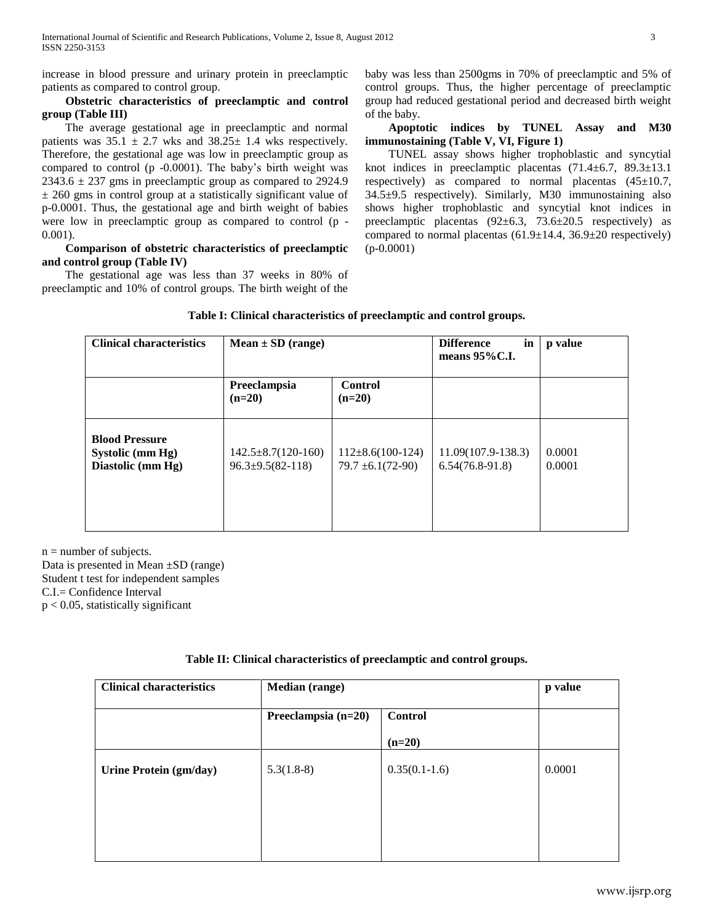increase in blood pressure and urinary protein in preeclamptic patients as compared to control group.

## **Obstetric characteristics of preeclamptic and control group (Table III)**

 The average gestational age in preeclamptic and normal patients was  $35.1 \pm 2.7$  wks and  $38.25 \pm 1.4$  wks respectively. Therefore, the gestational age was low in preeclamptic group as compared to control (p -0.0001). The baby's birth weight was  $2343.6 \pm 237$  gms in preeclamptic group as compared to 2924.9 ± 260 gms in control group at a statistically significant value of p-0.0001. Thus, the gestational age and birth weight of babies were low in preeclamptic group as compared to control (p - 0.001).

# **Comparison of obstetric characteristics of preeclamptic and control group (Table IV)**

 The gestational age was less than 37 weeks in 80% of preeclamptic and 10% of control groups. The birth weight of the

baby was less than 2500gms in 70% of preeclamptic and 5% of control groups. Thus, the higher percentage of preeclamptic group had reduced gestational period and decreased birth weight of the baby.

 **Apoptotic indices by TUNEL Assay and M30 immunostaining (Table V, VI, Figure 1)**

 TUNEL assay shows higher trophoblastic and syncytial knot indices in preeclamptic placentas (71.4±6.7, 89.3±13.1 respectively) as compared to normal placentas  $(45\pm10.7,$ 34.5±9.5 respectively). Similarly, M30 immunostaining also shows higher trophoblastic and syncytial knot indices in preeclamptic placentas  $(92 \pm 6.3, 73.6 \pm 20.5$  respectively) as compared to normal placentas  $(61.9 \pm 14.4, 36.9 \pm 20$  respectively) (p-0.0001)

| <b>Clinical characteristics</b>                                | $Mean \pm SD$ (range)                                |                                               | <b>Difference</b><br>in<br>means $95\%$ C.I. | p value          |
|----------------------------------------------------------------|------------------------------------------------------|-----------------------------------------------|----------------------------------------------|------------------|
|                                                                | Preeclampsia<br>$(n=20)$                             | <b>Control</b><br>$(n=20)$                    |                                              |                  |
| <b>Blood Pressure</b><br>Systolic (mm Hg)<br>Diastolic (mm Hg) | $142.5 \pm 8.7(120-160)$<br>$96.3 \pm 9.5(82 - 118)$ | $112\pm8.6(100-124)$<br>$79.7 \pm 6.1(72-90)$ | $11.09(107.9-138.3)$<br>$6.54(76.8-91.8)$    | 0.0001<br>0.0001 |

 $n =$  number of subjects.

Data is presented in Mean ±SD (range) Student t test for independent samples C.I.= Confidence Interval  $p < 0.05$ , statistically significant

| <b>Clinical characteristics</b> | Median (range)        |                 |        |
|---------------------------------|-----------------------|-----------------|--------|
|                                 | Preeclampsia $(n=20)$ | <b>Control</b>  |        |
|                                 |                       | $(n=20)$        |        |
| Urine Protein (gm/day)          | $5.3(1.8-8)$          | $0.35(0.1-1.6)$ | 0.0001 |
|                                 |                       |                 |        |
|                                 |                       |                 |        |

# **Table II: Clinical characteristics of preeclamptic and control groups.**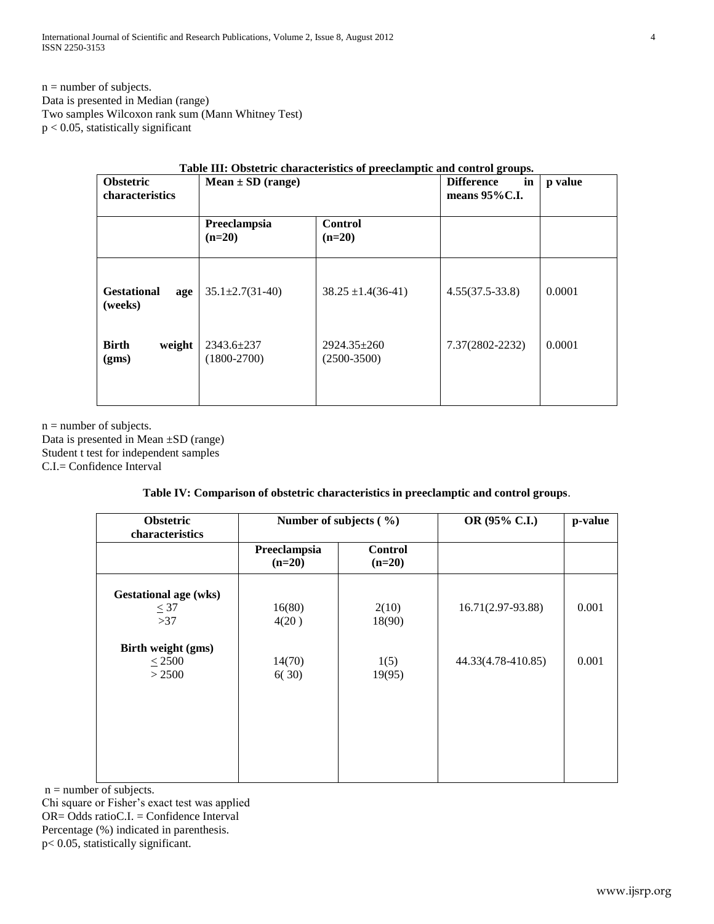International Journal of Scientific and Research Publications, Volume 2, Issue 8, August 2012 4 ISSN 2250-3153

 $n =$  number of subjects. Data is presented in Median (range) Two samples Wilcoxon rank sum (Mann Whitney Test) p < 0.05, statistically significant

| Table III: Obstetric characteristics of preeclamptic and control groups. |                                   |                                    |                                              |         |  |
|--------------------------------------------------------------------------|-----------------------------------|------------------------------------|----------------------------------------------|---------|--|
| <b>Obstetric</b><br><b>characteristics</b>                               | $Mean \pm SD$ (range)             |                                    | <b>Difference</b><br>in<br>means $95\%$ C.I. | p value |  |
|                                                                          | Preeclampsia<br>$(n=20)$          | <b>Control</b><br>$(n=20)$         |                                              |         |  |
| <b>Gestational</b><br>age<br>(weeks)                                     | $35.1 \pm 2.7(31 - 40)$           | $38.25 \pm 1.4(36-41)$             | $4.55(37.5-33.8)$                            | 0.0001  |  |
| <b>Birth</b><br>weight<br>(gms)                                          | $2343.6 \pm 237$<br>$(1800-2700)$ | $2924.35 \pm 260$<br>$(2500-3500)$ | 7.37(2802-2232)                              | 0.0001  |  |
|                                                                          |                                   |                                    |                                              |         |  |

 $n =$  number of subjects. Data is presented in Mean ±SD (range) Student t test for independent samples

C.I.= Confidence Interval

# **Table IV: Comparison of obstetric characteristics in preeclamptic and control groups**.

| <b>Obstetric</b><br>characteristics       | Number of subjects $(\% )$ |                            | OR (95% C.I.)      | p-value |
|-------------------------------------------|----------------------------|----------------------------|--------------------|---------|
|                                           | Preeclampsia<br>$(n=20)$   | <b>Control</b><br>$(n=20)$ |                    |         |
| <b>Gestational age (wks)</b><br>$\leq 37$ | 16(80)                     | 2(10)                      | 16.71(2.97-93.88)  | 0.001   |
| >37                                       | 4(20)                      | 18(90)                     |                    |         |
| Birth weight (gms)<br>$\leq$ 2500         | 14(70)                     | 1(5)                       | 44.33(4.78-410.85) | 0.001   |
| > 2500                                    | 6(30)                      | 19(95)                     |                    |         |
|                                           |                            |                            |                    |         |
|                                           |                            |                            |                    |         |
|                                           |                            |                            |                    |         |
|                                           |                            |                            |                    |         |

 $n =$  number of subjects.

Chi square or Fisher's exact test was applied OR= Odds ratioC.I. = Confidence Interval Percentage (%) indicated in parenthesis.

p< 0.05, statistically significant.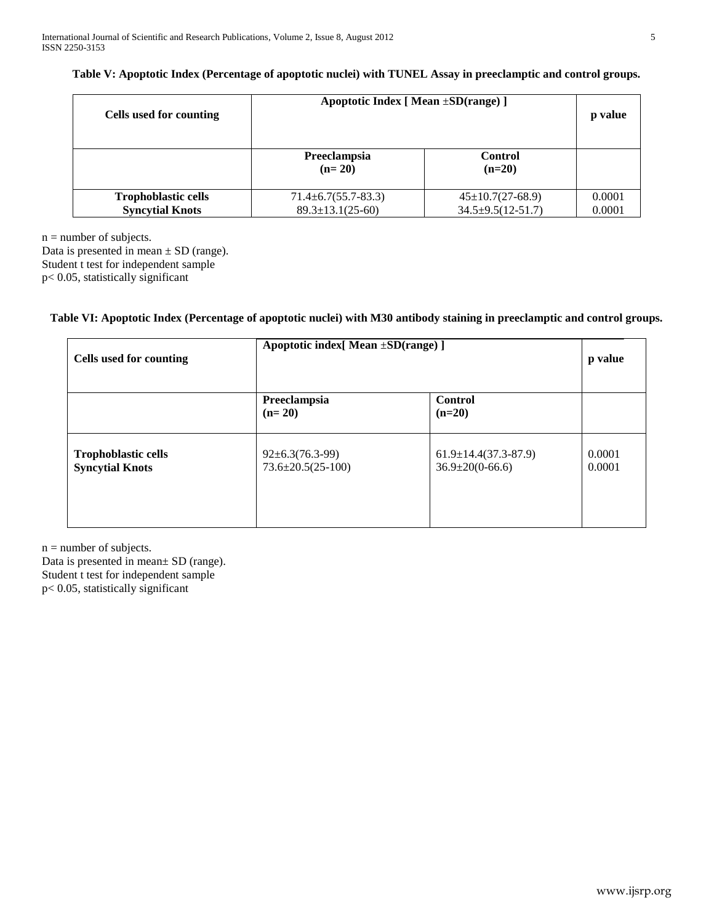| Table V: Apoptotic Index (Percentage of apoptotic nuclei) with TUNEL Assay in preeclamptic and control groups. |  |  |  |  |  |  |
|----------------------------------------------------------------------------------------------------------------|--|--|--|--|--|--|
|----------------------------------------------------------------------------------------------------------------|--|--|--|--|--|--|

| Cells used for counting    | Apoptotic Index [ Mean $\pm SD(range)$ ] | p value                    |        |
|----------------------------|------------------------------------------|----------------------------|--------|
|                            | Preeclampsia<br>$(n=20)$                 | <b>Control</b><br>$(n=20)$ |        |
| <b>Trophoblastic cells</b> | $71.4 \pm 6.7(55.7 - 83.3)$              | $45 \pm 10.7(27 - 68.9)$   | 0.0001 |
| <b>Syncytial Knots</b>     | $89.3 \pm 13.1(25-60)$                   | $34.5 \pm 9.5(12 - 51.7)$  | 0.0001 |

 $n =$  number of subjects.

Data is presented in mean  $\pm$  SD (range). Student t test for independent sample

p< 0.05, statistically significant

# **Table VI: Apoptotic Index (Percentage of apoptotic nuclei) with M30 antibody staining in preeclamptic and control groups.**

| <b>Cells used for counting</b>                       | Apoptotic index[ Mean ±SD(range) ]               |                                                         | p value          |
|------------------------------------------------------|--------------------------------------------------|---------------------------------------------------------|------------------|
|                                                      | Preeclampsia<br>$(n=20)$                         | <b>Control</b><br>$(n=20)$                              |                  |
| <b>Trophoblastic cells</b><br><b>Syncytial Knots</b> | $92 \pm 6.3(76.3-99)$<br>$73.6 \pm 20.5(25-100)$ | $61.9 \pm 14.4(37.3 - 87.9)$<br>$36.9 \pm 20(0 - 66.6)$ | 0.0001<br>0.0001 |

 $n =$  number of subjects.

Data is presented in mean± SD (range). Student t test for independent sample p< 0.05, statistically significant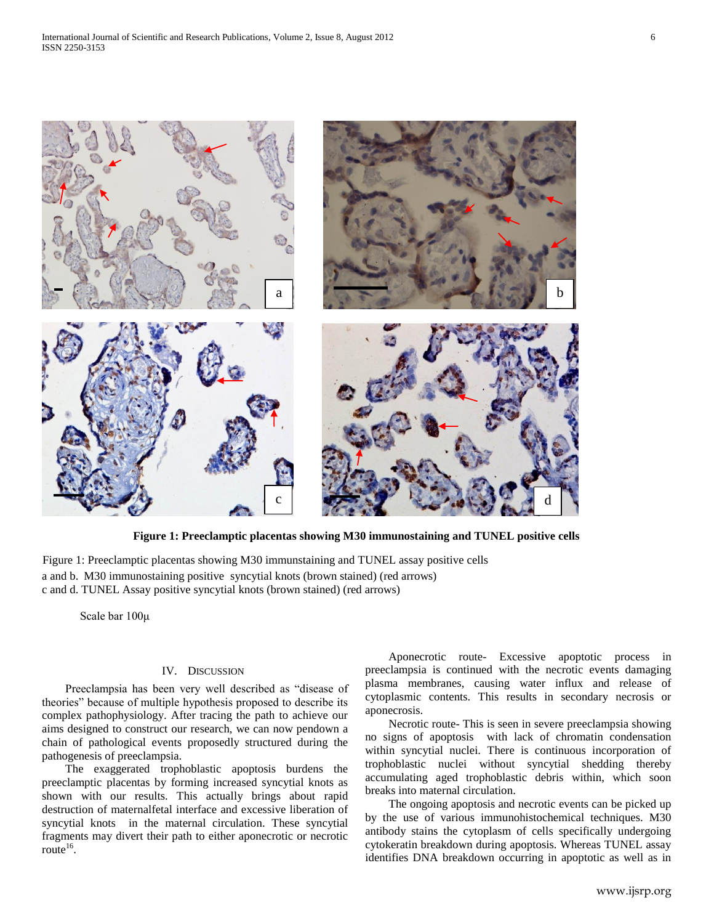

**Figure 1: Preeclamptic placentas showing M30 immunostaining and TUNEL positive cells**

a and b. M30 immunostaining positive syncytial knots (brown stained) (red arrows) c and d. TUNEL Assay positive syncytial knots (brown stained) (red arrows) Figure 1: Preeclamptic placentas showing M30 immunstaining and TUNEL assay positive cells

Scale bar 100μ

#### IV. DISCUSSION

 Preeclampsia has been very well described as "disease of theories" because of multiple hypothesis proposed to describe its complex pathophysiology. After tracing the path to achieve our aims designed to construct our research, we can now pendown a chain of pathological events proposedly structured during the pathogenesis of preeclampsia.

 The exaggerated trophoblastic apoptosis burdens the preeclamptic placentas by forming increased syncytial knots as shown with our results. This actually brings about rapid destruction of maternalfetal interface and excessive liberation of syncytial knots in the maternal circulation. These syncytial fragments may divert their path to either aponecrotic or necrotic route<sup>16</sup>.

 Aponecrotic route- Excessive apoptotic process in preeclampsia is continued with the necrotic events damaging plasma membranes, causing water influx and release of cytoplasmic contents. This results in secondary necrosis or aponecrosis.

 Necrotic route- This is seen in severe preeclampsia showing no signs of apoptosis with lack of chromatin condensation within syncytial nuclei. There is continuous incorporation of trophoblastic nuclei without syncytial shedding thereby accumulating aged trophoblastic debris within, which soon breaks into maternal circulation.

 The ongoing apoptosis and necrotic events can be picked up by the use of various immunohistochemical techniques. M30 antibody stains the cytoplasm of cells specifically undergoing cytokeratin breakdown during apoptosis. Whereas TUNEL assay identifies DNA breakdown occurring in apoptotic as well as in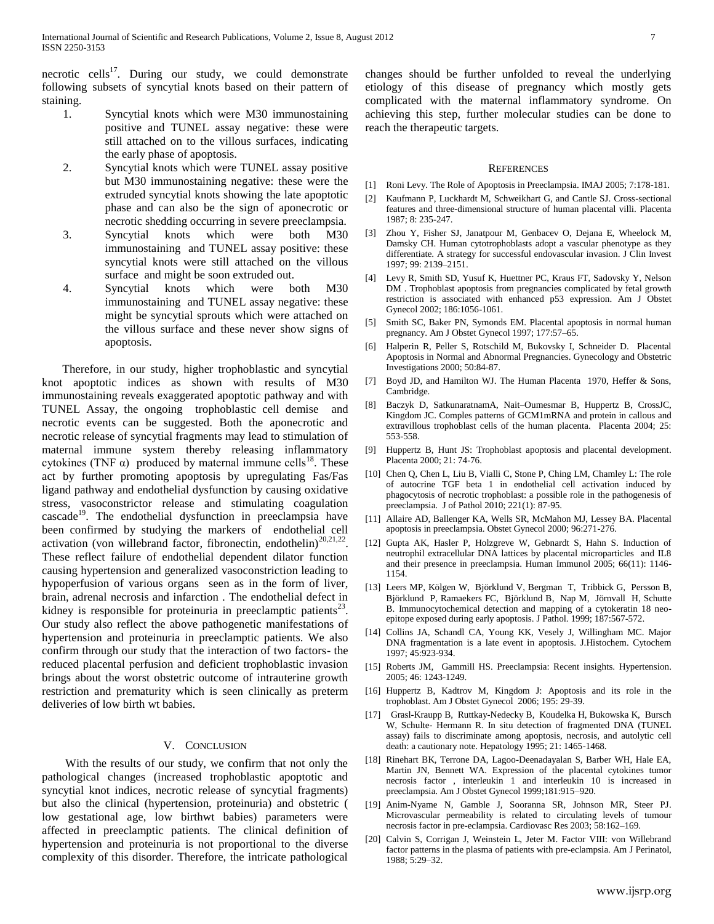necrotic cells $17$ . During our study, we could demonstrate following subsets of syncytial knots based on their pattern of staining.

- 1. Syncytial knots which were M30 immunostaining positive and TUNEL assay negative: these were still attached on to the villous surfaces, indicating the early phase of apoptosis.
- 2. Syncytial knots which were TUNEL assay positive but M30 immunostaining negative: these were the extruded syncytial knots showing the late apoptotic phase and can also be the sign of aponecrotic or necrotic shedding occurring in severe preeclampsia.
- 3. Syncytial knots which were both M30 immunostaining and TUNEL assay positive: these syncytial knots were still attached on the villous surface and might be soon extruded out.
- 4. Syncytial knots which were both M30 immunostaining and TUNEL assay negative: these might be syncytial sprouts which were attached on the villous surface and these never show signs of apoptosis.

 Therefore, in our study, higher trophoblastic and syncytial knot apoptotic indices as shown with results of M30 immunostaining reveals exaggerated apoptotic pathway and with TUNEL Assay, the ongoing trophoblastic cell demise and necrotic events can be suggested. Both the aponecrotic and necrotic release of syncytial fragments may lead to stimulation of maternal immune system thereby releasing inflammatory cytokines (TNF  $\alpha$ ) produced by maternal immune cells<sup>18</sup>. These act by further promoting apoptosis by upregulating Fas/Fas ligand pathway and endothelial dysfunction by causing oxidative stress, vasoconstrictor release and stimulating coagulation cascade<sup>19</sup>. The endothelial dysfunction in preeclampsia have been confirmed by studying the markers of endothelial cell activation (von willebrand factor, fibronectin, endothelin) $^{20,21,22}$ . These reflect failure of endothelial dependent dilator function causing hypertension and generalized vasoconstriction leading to hypoperfusion of various organs seen as in the form of liver, brain, adrenal necrosis and infarction . The endothelial defect in kidney is responsible for proteinuria in preeclamptic patients $^{23}$ . Our study also reflect the above pathogenetic manifestations of hypertension and proteinuria in preeclamptic patients. We also confirm through our study that the interaction of two factors- the reduced placental perfusion and deficient trophoblastic invasion brings about the worst obstetric outcome of intrauterine growth restriction and prematurity which is seen clinically as preterm deliveries of low birth wt babies.

## V. CONCLUSION

 With the results of our study, we confirm that not only the pathological changes (increased trophoblastic apoptotic and syncytial knot indices, necrotic release of syncytial fragments) but also the clinical (hypertension, proteinuria) and obstetric ( low gestational age, low birthwt babies) parameters were affected in preeclamptic patients. The clinical definition of hypertension and proteinuria is not proportional to the diverse complexity of this disorder. Therefore, the intricate pathological

changes should be further unfolded to reveal the underlying etiology of this disease of pregnancy which mostly gets complicated with the maternal inflammatory syndrome. On achieving this step, further molecular studies can be done to reach the therapeutic targets.

#### **REFERENCES**

- [1] Roni Levy. The Role of Apoptosis in Preeclampsia. IMAJ 2005; 7:178-181.
- [2] Kaufmann P, Luckhardt M, Schweikhart G, and Cantle SJ. Cross-sectional features and three-dimensional structure of human placental villi. Placenta 1987; 8: 235-247.
- [3] Zhou Y, Fisher SJ, Janatpour M, Genbacev O, Dejana E, Wheelock M, Damsky CH. Human cytotrophoblasts adopt a vascular phenotype as they differentiate. A strategy for successful endovascular invasion. J Clin Invest 1997; 99: 2139–2151.
- [4] Levy R, Smith SD, Yusuf K, Huettner PC, Kraus FT, Sadovsky Y, Nelson DM . Trophoblast apoptosis from pregnancies complicated by fetal growth restriction is associated with enhanced p53 expression. Am J Obstet Gynecol 2002; 186:1056-1061.
- [5] Smith SC, Baker PN, Symonds EM. Placental apoptosis in normal human pregnancy. Am J Obstet Gynecol 1997; 177:57–65.
- [6] Halperin R, Peller S, Rotschild M, Bukovsky I, Schneider D. Placental Apoptosis in Normal and Abnormal Pregnancies. Gynecology and Obstetric Investigations 2000; 50:84-87.
- [7] Boyd JD, and Hamilton WJ. The Human Placenta 1970, Heffer & Sons, Cambridge.
- [8] Baczyk D, SatkunaratnamA, Nait–Oumesmar B, Huppertz B, CrossJC, Kingdom JC. Comples patterns of GCM1mRNA and protein in callous and extravillous trophoblast cells of the human placenta. Placenta 2004; 25: 553-558.
- [9] Huppertz B, Hunt JS: Trophoblast apoptosis and placental development. Placenta 2000; 21: 74-76.
- [10] Chen Q, Chen L, Liu B, Vialli C, Stone P, Ching LM, Chamley L: The role of autocrine TGF beta 1 in endothelial cell activation induced by phagocytosis of necrotic trophoblast: a possible role in the pathogenesis of preeclampsia. J of Pathol 2010; 221(1): 87-95.
- [11] Allaire AD, Ballenger KA, Wells SR, McMahon MJ, Lessey BA. Placental apoptosis in preeclampsia. Obstet Gynecol 2000; 96:271-276.
- [12] Gupta AK, Hasler P, Holzgreve W, Gebnardt S, Hahn S. Induction of neutrophil extracellular DNA lattices by placental microparticles and IL8 and their presence in preeclampsia. Human Immunol 2005; 66(11): 1146- 1154.
- [13] Leers MP, [Kölgen W, Björklund V, Bergman T, Tribbick G, Persson B,](http://www.ncbi.nlm.nih.gov/sites/entrez?Db=pubmed&Cmd=Search&Term=) [Björklund P, Ramaekers FC, Björklund B, Nap M, Jörnvall H, Schutte](http://www.ncbi.nlm.nih.gov/sites/entrez?Db=pubmed&Cmd=Search&Term=)  [B.](http://www.ncbi.nlm.nih.gov/sites/entrez?Db=pubmed&Cmd=Search&Term=) Immunocytochemical detection and mapping of a cytokeratin 18 neoepitope exposed during early apoptosis[. J Pathol.](javascript:AL_get(this,%20) 1999; 187:567-572.
- [14] Collins JA, Schandl CA, Young KK, Vesely J, Willingham MC. Major DNA fragmentation is a late event in apoptosis. J.Histochem. Cytochem 1997; 45:923-934.
- [15] Roberts JM, Gammill HS. Preeclampsia: Recent insights. Hypertension. 2005; 46: 1243-1249.
- [16] Huppertz B, Kadtrov M, Kingdom J: Apoptosis and its role in the trophoblast. Am J Obstet Gynecol 2006; 195: 29-39.
- [17] Grasl-Kraupp B, Ruttkay-Nedecky B, Koudelka H, Bukowska K, Bursch W, Schulte- Hermann R. In situ detection of fragmented DNA (TUNEL assay) fails to discriminate among apoptosis, necrosis, and autolytic cell death: a cautionary note. Hepatology 1995; 21: 1465-1468.
- [18] Rinehart BK, Terrone DA, Lagoo-Deenadayalan S, Barber WH, Hale EA, Martin JN, Bennett WA. Expression of the placental cytokines tumor necrosis factor , interleukin 1 and interleukin 10 is increased in preeclampsia. Am J Obstet Gynecol 1999;181:915–920.
- [19] Anim-Nyame N, Gamble J, Sooranna SR, Johnson MR, Steer PJ. Microvascular permeability is related to circulating levels of tumour necrosis factor in pre-eclampsia. Cardiovasc Res 2003; 58:162–169.
- [20] Calvin S, Corrigan J, Weinstein L, Jeter M. Factor VIII: von Willebrand factor patterns in the plasma of patients with pre-eclampsia. Am J Perinatol, 1988; 5:29–32.